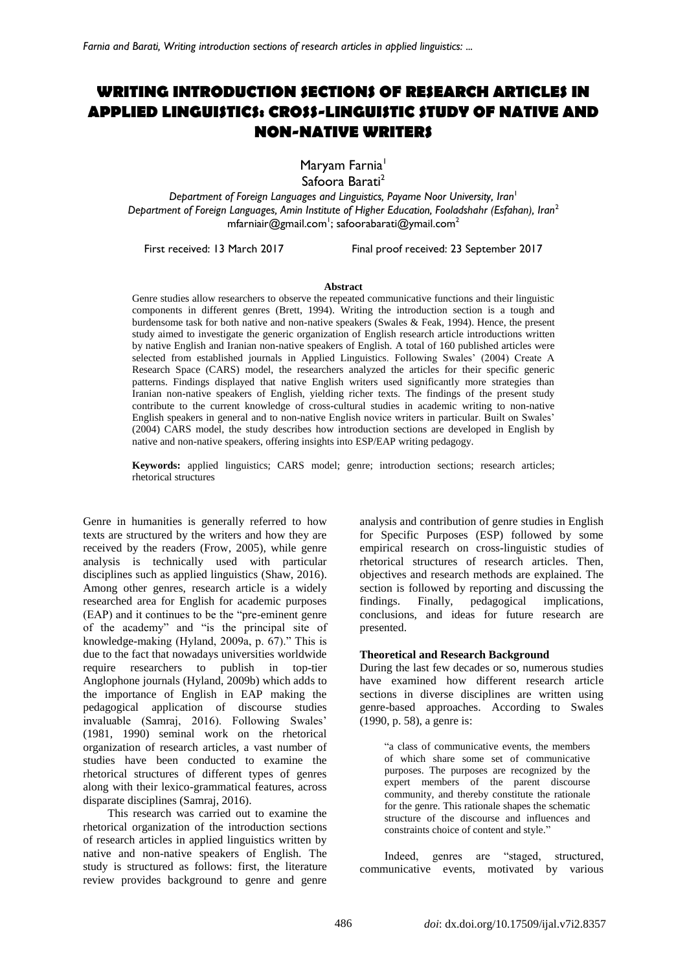# **WRITING INTRODUCTION SECTIONS OF RESEARCH ARTICLES IN APPLIED LINGUISTICS: CROSS-LINGUISTIC STUDY OF NATIVE AND NON-NATIVE WRITERS**

Maryam Farnia<sup>1</sup>

Safoora Barati<sup>2</sup>

*Department of Foreign Languages and Linguistics, Payame Noor University, Iran<sup>1</sup> Department of Foreign Languages, Amin Institute of Higher Education, Fooladshahr (Esfahan), Iran*<sup>2</sup> [mfarniair@gmail.com](mailto:mfarniair@gmail.com) $^!$ ; safoorabarati@ymail.com $^2$ 

First received: 13 March 2017 Final proof received: 23 September 2017

#### **Abstract**

Genre studies allow researchers to observe the repeated communicative functions and their linguistic components in different genres (Brett, 1994). Writing the introduction section is a tough and burdensome task for both native and non-native speakers (Swales & Feak, 1994). Hence, the present study aimed to investigate the generic organization of English research article introductions written by native English and Iranian non-native speakers of English. A total of 160 published articles were selected from established journals in Applied Linguistics. Following Swales' (2004) Create A Research Space (CARS) model, the researchers analyzed the articles for their specific generic patterns. Findings displayed that native English writers used significantly more strategies than Iranian non-native speakers of English, yielding richer texts. The findings of the present study contribute to the current knowledge of cross-cultural studies in academic writing to non-native English speakers in general and to non-native English novice writers in particular. Built on Swales' (2004) CARS model, the study describes how introduction sections are developed in English by native and non-native speakers, offering insights into ESP/EAP writing pedagogy.

**Keywords:** applied linguistics; CARS model; genre; introduction sections; research articles; rhetorical structures

Genre in humanities is generally referred to how texts are structured by the writers and how they are received by the readers (Frow, 2005), while genre analysis is technically used with particular disciplines such as applied linguistics (Shaw, 2016). Among other genres, research article is a widely researched area for English for academic purposes (EAP) and it continues to be the "pre-eminent genre of the academy" and "is the principal site of knowledge-making (Hyland, 2009a, p. 67)." This is due to the fact that nowadays universities worldwide require researchers to publish in top-tier Anglophone journals (Hyland, 2009b) which adds to the importance of English in EAP making the pedagogical application of discourse studies invaluable (Samraj, 2016). Following Swales' (1981, 1990) seminal work on the rhetorical organization of research articles, a vast number of studies have been conducted to examine the rhetorical structures of different types of genres along with their lexico-grammatical features, across disparate disciplines (Samraj, 2016).

This research was carried out to examine the rhetorical organization of the introduction sections of research articles in applied linguistics written by native and non-native speakers of English. The study is structured as follows: first, the literature review provides background to genre and genre analysis and contribution of genre studies in English for Specific Purposes (ESP) followed by some empirical research on cross-linguistic studies of rhetorical structures of research articles. Then, objectives and research methods are explained. The section is followed by reporting and discussing the findings. Finally, pedagogical implications, conclusions, and ideas for future research are presented.

# **Theoretical and Research Background**

During the last few decades or so, numerous studies have examined how different research article sections in diverse disciplines are written using genre-based approaches. According to Swales (1990, p. 58), a genre is:

"a class of communicative events, the members of which share some set of communicative purposes. The purposes are recognized by the expert members of the parent discourse community, and thereby constitute the rationale for the genre. This rationale shapes the schematic structure of the discourse and influences and constraints choice of content and style."

Indeed, genres are "staged, structured, communicative events, motivated by various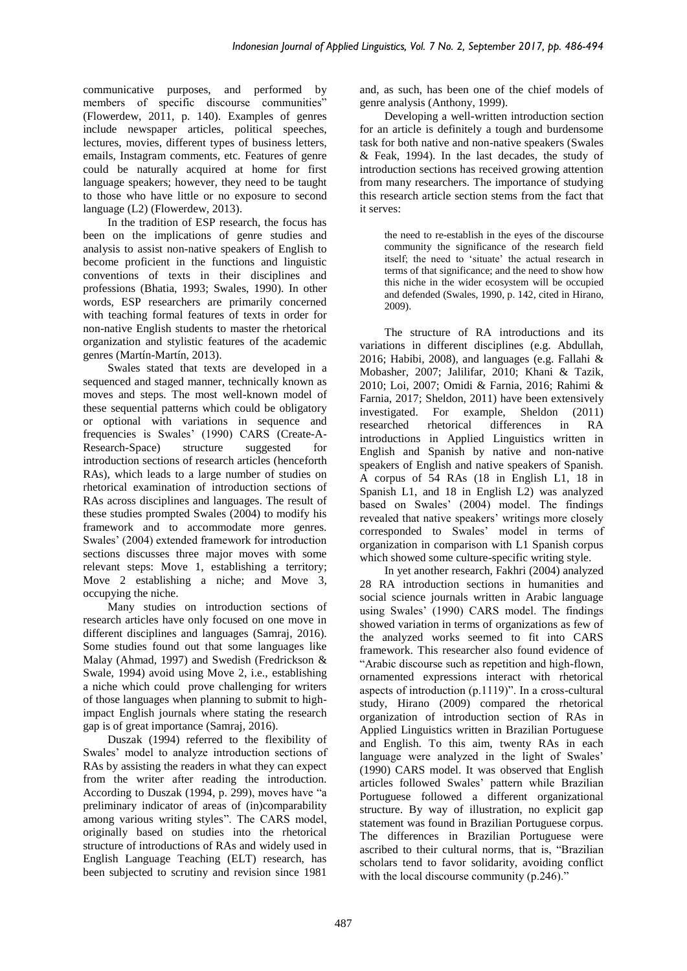communicative purposes, and performed by members of specific discourse communities" (Flowerdew, 2011, p. 140). Examples of genres include newspaper articles, political speeches, lectures, movies, different types of business letters, emails, Instagram comments, etc. Features of genre could be naturally acquired at home for first language speakers; however, they need to be taught to those who have little or no exposure to second language (L2) (Flowerdew, 2013).

In the tradition of ESP research, the focus has been on the implications of genre studies and analysis to assist non-native speakers of English to become proficient in the functions and linguistic conventions of texts in their disciplines and professions (Bhatia, 1993; Swales, 1990). In other words, ESP researchers are primarily concerned with teaching formal features of texts in order for non-native English students to master the rhetorical organization and stylistic features of the academic genres (Martín-Martín, 2013).

Swales stated that texts are developed in a sequenced and staged manner, technically known as moves and steps. The most well-known model of these sequential patterns which could be obligatory or optional with variations in sequence and frequencies is Swales' (1990) CARS (Create-A-<br>Research-Space) structure suggested for Research-Space) structure suggested for introduction sections of research articles (henceforth RAs), which leads to a large number of studies on rhetorical examination of introduction sections of RAs across disciplines and languages. The result of these studies prompted Swales (2004) to modify his framework and to accommodate more genres. Swales' (2004) extended framework for introduction sections discusses three major moves with some relevant steps: Move 1, establishing a territory; Move 2 establishing a niche; and Move 3, occupying the niche.

Many studies on introduction sections of research articles have only focused on one move in different disciplines and languages (Samraj, 2016). Some studies found out that some languages like Malay (Ahmad, 1997) and Swedish (Fredrickson & Swale, 1994) avoid using Move 2, i.e., establishing a niche which could prove challenging for writers of those languages when planning to submit to highimpact English journals where stating the research gap is of great importance (Samraj, 2016).

Duszak (1994) referred to the flexibility of Swales' model to analyze introduction sections of RAs by assisting the readers in what they can expect from the writer after reading the introduction. According to Duszak (1994, p. 299), moves have "a preliminary indicator of areas of (in)comparability among various writing styles". The CARS model, originally based on studies into the rhetorical structure of introductions of RAs and widely used in English Language Teaching (ELT) research, has been subjected to scrutiny and revision since 1981

and, as such, has been one of the chief models of genre analysis (Anthony, 1999).

Developing a well-written introduction section for an article is definitely a tough and burdensome task for both native and non-native speakers (Swales & Feak, 1994). In the last decades, the study of introduction sections has received growing attention from many researchers. The importance of studying this research article section stems from the fact that it serves:

the need to re-establish in the eyes of the discourse community the significance of the research field itself; the need to 'situate' the actual research in terms of that significance; and the need to show how this niche in the wider ecosystem will be occupied and defended (Swales, 1990, p. 142, cited in Hirano, 2009).

The structure of RA introductions and its variations in different disciplines (e.g. Abdullah, 2016; Habibi, 2008), and languages (e.g. Fallahi & Mobasher, 2007; Jalilifar, 2010; Khani & Tazik, 2010; Loi, 2007; Omidi & Farnia, 2016; Rahimi & Farnia, 2017; Sheldon, 2011) have been extensively investigated. For example, Sheldon (2011) researched rhetorical differences in RA introductions in Applied Linguistics written in English and Spanish by native and non-native speakers of English and native speakers of Spanish. A corpus of 54 RAs (18 in English L1, 18 in Spanish L1, and 18 in English L2) was analyzed based on Swales' (2004) model. The findings revealed that native speakers' writings more closely corresponded to Swales' model in terms of organization in comparison with L1 Spanish corpus which showed some culture-specific writing style.

In yet another research, Fakhri (2004) analyzed 28 RA introduction sections in humanities and social science journals written in Arabic language using Swales' (1990) CARS model. The findings showed variation in terms of organizations as few of the analyzed works seemed to fit into CARS framework. This researcher also found evidence of "Arabic discourse such as repetition and high-flown, ornamented expressions interact with rhetorical aspects of introduction (p.1119)". In a cross-cultural study, Hirano (2009) compared the rhetorical organization of introduction section of RAs in Applied Linguistics written in Brazilian Portuguese and English. To this aim, twenty RAs in each language were analyzed in the light of Swales' (1990) CARS model. It was observed that English articles followed Swales' pattern while Brazilian Portuguese followed a different organizational structure. By way of illustration, no explicit gap statement was found in Brazilian Portuguese corpus. The differences in Brazilian Portuguese were ascribed to their cultural norms, that is, "Brazilian scholars tend to favor solidarity, avoiding conflict with the local discourse community (p.246)."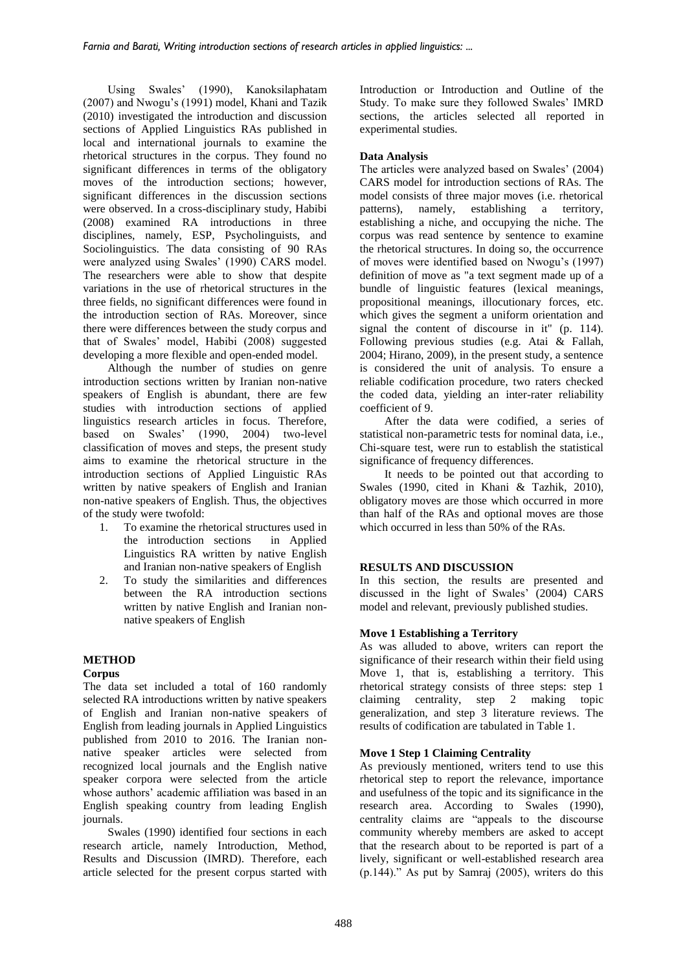Using Swales' (1990), Kanoksilaphatam (2007) and Nwogu's (1991) model, Khani and Tazik (2010) investigated the introduction and discussion sections of Applied Linguistics RAs published in local and international journals to examine the rhetorical structures in the corpus. They found no significant differences in terms of the obligatory moves of the introduction sections; however, significant differences in the discussion sections were observed. In a cross-disciplinary study, Habibi (2008) examined RA introductions in three disciplines, namely, ESP, Psycholinguists, and Sociolinguistics. The data consisting of 90 RAs were analyzed using Swales' (1990) CARS model. The researchers were able to show that despite variations in the use of rhetorical structures in the three fields, no significant differences were found in the introduction section of RAs. Moreover, since there were differences between the study corpus and that of Swales' model, Habibi (2008) suggested developing a more flexible and open-ended model.

Although the number of studies on genre introduction sections written by Iranian non-native speakers of English is abundant, there are few studies with introduction sections of applied linguistics research articles in focus. Therefore, based on Swales' (1990, 2004) two-level classification of moves and steps, the present study aims to examine the rhetorical structure in the introduction sections of Applied Linguistic RAs written by native speakers of English and Iranian non-native speakers of English. Thus, the objectives of the study were twofold:

- 1. To examine the rhetorical structures used in the introduction sections in Applied Linguistics RA written by native English and Iranian non-native speakers of English
- 2. To study the similarities and differences between the RA introduction sections written by native English and Iranian nonnative speakers of English

# **METHOD**

# **Corpus**

The data set included a total of 160 randomly selected RA introductions written by native speakers of English and Iranian non-native speakers of English from leading journals in Applied Linguistics published from 2010 to 2016. The Iranian nonnative speaker articles were selected from recognized local journals and the English native speaker corpora were selected from the article whose authors' academic affiliation was based in an English speaking country from leading English journals.

Swales (1990) identified four sections in each research article, namely Introduction, Method, Results and Discussion (IMRD). Therefore, each article selected for the present corpus started with Introduction or Introduction and Outline of the Study. To make sure they followed Swales' IMRD sections, the articles selected all reported in experimental studies.

# **Data Analysis**

The articles were analyzed based on Swales' (2004) CARS model for introduction sections of RAs. The model consists of three major moves (i.e. rhetorical patterns), namely, establishing a territory, establishing a niche, and occupying the niche. The corpus was read sentence by sentence to examine the rhetorical structures. In doing so, the occurrence of moves were identified based on Nwogu's (1997) definition of move as "a text segment made up of a bundle of linguistic features (lexical meanings, propositional meanings, illocutionary forces, etc. which gives the segment a uniform orientation and signal the content of discourse in it" (p. 114). Following previous studies (e.g. Atai & Fallah, 2004; Hirano, 2009), in the present study, a sentence is considered the unit of analysis. To ensure a reliable codification procedure, two raters checked the coded data, yielding an inter-rater reliability coefficient of 9.

After the data were codified, a series of statistical non-parametric tests for nominal data, i.e., Chi-square test, were run to establish the statistical significance of frequency differences.

It needs to be pointed out that according to Swales (1990, cited in Khani & Tazhik, 2010), obligatory moves are those which occurred in more than half of the RAs and optional moves are those which occurred in less than 50% of the RAs.

# **RESULTS AND DISCUSSION**

In this section, the results are presented and discussed in the light of Swales' (2004) CARS model and relevant, previously published studies.

# **Move 1 Establishing a Territory**

As was alluded to above, writers can report the significance of their research within their field using Move 1, that is, establishing a territory. This rhetorical strategy consists of three steps: step 1 claiming centrality, step 2 making topic generalization, and step 3 literature reviews. The results of codification are tabulated in Table 1.

# **Move 1 Step 1 Claiming Centrality**

As previously mentioned, writers tend to use this rhetorical step to report the relevance, importance and usefulness of the topic and its significance in the research area. According to Swales (1990), centrality claims are "appeals to the discourse community whereby members are asked to accept that the research about to be reported is part of a lively, significant or well-established research area (p.144)." As put by Samraj (2005), writers do this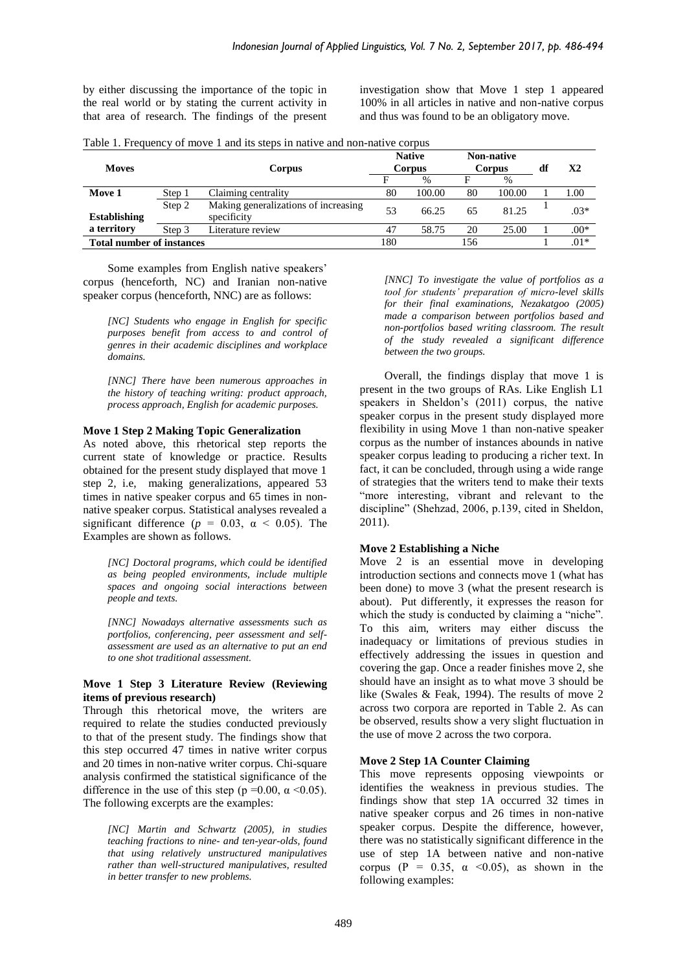by either discussing the importance of the topic in the real world or by stating the current activity in that area of research. The findings of the present investigation show that Move 1 step 1 appeared 100% in all articles in native and non-native corpus and thus was found to be an obligatory move.

|  | Table 1. Frequency of move 1 and its steps in native and non-native corpus |  |
|--|----------------------------------------------------------------------------|--|
|--|----------------------------------------------------------------------------|--|

| <b>Moves</b><br>Corpus           |        |                                                     | <b>Native</b><br><b>Corpus</b> |        | Non-native<br><b>Corpus</b> |        | df | X <sub>2</sub> |
|----------------------------------|--------|-----------------------------------------------------|--------------------------------|--------|-----------------------------|--------|----|----------------|
|                                  |        |                                                     | F                              | $\%$   | F                           | %      |    |                |
| Move 1                           | Step 1 | Claiming centrality                                 | 80                             | 100.00 | 80                          | 100.00 |    | 1.00           |
| <b>Establishing</b>              | Step 2 | Making generalizations of increasing<br>specificity | 53                             | 66.25  | 65                          | 81.25  |    | $.03*$         |
| a territory                      | Step 3 | Literature review                                   | 47                             | 58.75  | 20                          | 25.00  |    | $.00*$         |
| <b>Total number of instances</b> |        |                                                     | 180                            |        | 156                         |        |    | $.01*$         |

Some examples from English native speakers' corpus (henceforth, NC) and Iranian non-native speaker corpus (henceforth, NNC) are as follows:

*[NC] Students who engage in English for specific purposes benefit from access to and control of genres in their academic disciplines and workplace domains.*

*[NNC] There have been numerous approaches in the history of teaching writing: product approach, process approach, English for academic purposes.*

#### **Move 1 Step 2 Making Topic Generalization**

As noted above, this rhetorical step reports the current state of knowledge or practice. Results obtained for the present study displayed that move 1 step 2, i.e, making generalizations, appeared 53 times in native speaker corpus and 65 times in nonnative speaker corpus. Statistical analyses revealed a significant difference ( $p = 0.03$ ,  $\alpha < 0.05$ ). The Examples are shown as follows.

*[NC] Doctoral programs, which could be identified as being peopled environments, include multiple spaces and ongoing social interactions between people and texts.*

*[NNC] Nowadays alternative assessments such as portfolios, conferencing, peer assessment and selfassessment are used as an alternative to put an end to one shot traditional assessment.* 

### **Move 1 Step 3 Literature Review (Reviewing items of previous research)**

Through this rhetorical move, the writers are required to relate the studies conducted previously to that of the present study. The findings show that this step occurred 47 times in native writer corpus and 20 times in non-native writer corpus. Chi-square analysis confirmed the statistical significance of the difference in the use of this step ( $p = 0.00$ ,  $\alpha \le 0.05$ ). The following excerpts are the examples:

> *[NC] Martin and Schwartz (2005), in studies teaching fractions to nine- and ten-year-olds, found that using relatively unstructured manipulatives rather than well-structured manipulatives, resulted in better transfer to new problems.*

*[NNC] To investigate the value of portfolios as a tool for students' preparation of micro-level skills for their final examinations, Nezakatgoo (2005) made a comparison between portfolios based and non-portfolios based writing classroom. The result of the study revealed a significant difference between the two groups.*

Overall, the findings display that move 1 is present in the two groups of RAs. Like English L1 speakers in Sheldon's (2011) corpus, the native speaker corpus in the present study displayed more flexibility in using Move 1 than non-native speaker corpus as the number of instances abounds in native speaker corpus leading to producing a richer text. In fact, it can be concluded, through using a wide range of strategies that the writers tend to make their texts "more interesting, vibrant and relevant to the discipline" (Shehzad, 2006, p.139, cited in Sheldon, 2011).

## **Move 2 Establishing a Niche**

Move 2 is an essential move in developing introduction sections and connects move 1 (what has been done) to move 3 (what the present research is about). Put differently, it expresses the reason for which the study is conducted by claiming a "niche". To this aim, writers may either discuss the inadequacy or limitations of previous studies in effectively addressing the issues in question and covering the gap. Once a reader finishes move 2, she should have an insight as to what move 3 should be like (Swales & Feak, 1994). The results of move 2 across two corpora are reported in Table 2. As can be observed, results show a very slight fluctuation in the use of move 2 across the two corpora.

### **Move 2 Step 1A Counter Claiming**

This move represents opposing viewpoints or identifies the weakness in previous studies. The findings show that step 1A occurred 32 times in native speaker corpus and 26 times in non-native speaker corpus. Despite the difference, however, there was no statistically significant difference in the use of step 1A between native and non-native corpus (P = 0.35,  $\alpha$  <0.05), as shown in the following examples: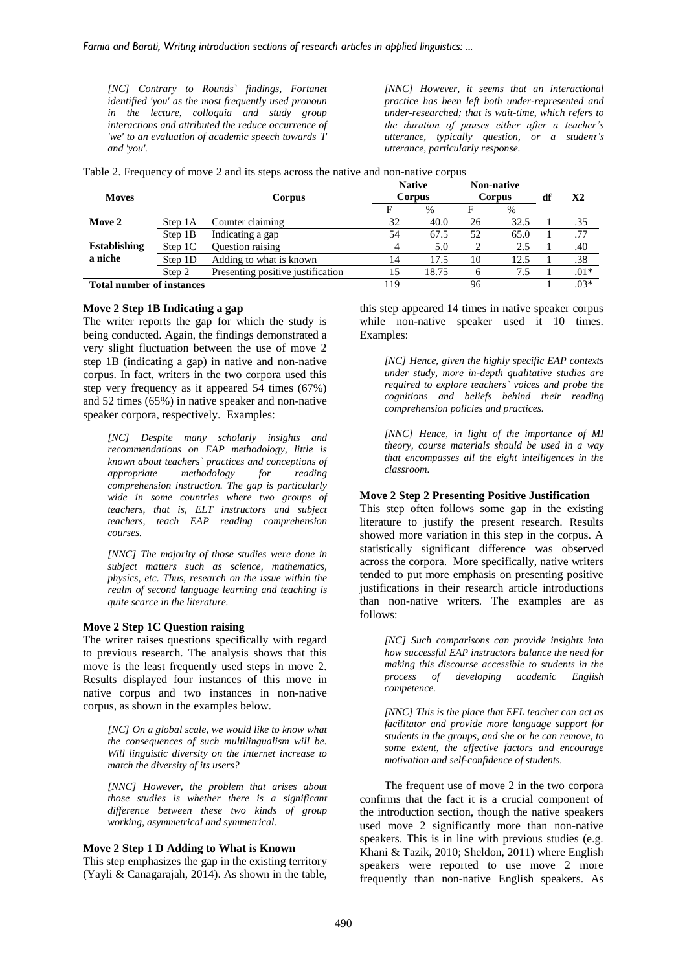*[NC] Contrary to Rounds` findings, Fortanet identified 'you' as the most frequently used pronoun in the lecture, colloquia and study group interactions and attributed the reduce occurrence of 'we' to an evaluation of academic speech towards 'I' and 'you'.*

*[NNC] However, it seems that an interactional practice has been left both under-represented and under-researched; that is wait-time, which refers to the duration of pauses either after a teacher's utterance, typically question, or a student's utterance, particularly response.*

|  |  |  |  |  | Table 2. Frequency of move 2 and its steps across the native and non-native corpus |  |
|--|--|--|--|--|------------------------------------------------------------------------------------|--|
|--|--|--|--|--|------------------------------------------------------------------------------------|--|

| <b>Moves</b>                     |         | Corpus                            | <b>Native</b><br>Corpus |       | <b>Non-native</b><br>Corpus |      | df     | X2     |
|----------------------------------|---------|-----------------------------------|-------------------------|-------|-----------------------------|------|--------|--------|
|                                  |         |                                   | E                       | $\%$  | F                           | %    |        |        |
| Move 2                           | Step 1A | Counter claiming                  | 32                      | 40.0  | 26                          | 32.5 |        | .35    |
|                                  | Step 1B | Indicating a gap                  | 54                      | 67.5  | 52                          | 65.0 |        | .77    |
| <b>Establishing</b>              | Step 1C | Question raising                  |                         | 5.0   |                             | 2.5  |        | .40    |
| a niche                          | Step 1D | Adding to what is known           | 14                      | 17.5  | 10                          | 12.5 |        | .38    |
|                                  | Step 2  | Presenting positive justification | 15                      | 18.75 | 6                           | 7.5  |        | $.01*$ |
| <b>Total number of instances</b> |         | 119                               |                         | 96    |                             |      | $.03*$ |        |

#### **Move 2 Step 1B Indicating a gap**

The writer reports the gap for which the study is being conducted. Again, the findings demonstrated a very slight fluctuation between the use of move 2 step 1B (indicating a gap) in native and non-native corpus. In fact, writers in the two corpora used this step very frequency as it appeared 54 times (67%) and 52 times (65%) in native speaker and non-native speaker corpora, respectively. Examples:

*[NC] Despite many scholarly insights and recommendations on EAP methodology, little is known about teachers` practices and conceptions of*   $methodology$  for *comprehension instruction. The gap is particularly wide in some countries where two groups of teachers, that is, ELT instructors and subject teachers, teach EAP reading comprehension courses.*

*[NNC] The majority of those studies were done in subject matters such as science, mathematics, physics, etc. Thus, research on the issue within the realm of second language learning and teaching is quite scarce in the literature.*

#### **Move 2 Step 1C Question raising**

The writer raises questions specifically with regard to previous research. The analysis shows that this move is the least frequently used steps in move 2. Results displayed four instances of this move in native corpus and two instances in non-native corpus, as shown in the examples below.

*[NC] On a global scale, we would like to know what the consequences of such multilingualism will be. Will linguistic diversity on the internet increase to match the diversity of its users?* 

*[NNC] However, the problem that arises about those studies is whether there is a significant difference between these two kinds of group working, asymmetrical and symmetrical.*

#### **Move 2 Step 1 D Adding to What is Known**

This step emphasizes the gap in the existing territory (Yayli & Canagarajah, 2014). As shown in the table, this step appeared 14 times in native speaker corpus while non-native speaker used it 10 times. Examples:

> *[NC] Hence, given the highly specific EAP contexts under study, more in-depth qualitative studies are required to explore teachers` voices and probe the cognitions and beliefs behind their reading comprehension policies and practices.*

> *[NNC] Hence, in light of the importance of MI theory, course materials should be used in a way that encompasses all the eight intelligences in the classroom.*

#### **Move 2 Step 2 Presenting Positive Justification**

This step often follows some gap in the existing literature to justify the present research. Results showed more variation in this step in the corpus. A statistically significant difference was observed across the corpora. More specifically, native writers tended to put more emphasis on presenting positive justifications in their research article introductions than non-native writers. The examples are as follows:

*[NC] Such comparisons can provide insights into how successful EAP instructors balance the need for making this discourse accessible to students in the process of developing academic English competence.*

*[NNC] This is the place that EFL teacher can act as facilitator and provide more language support for students in the groups, and she or he can remove, to some extent, the affective factors and encourage motivation and self-confidence of students.*

The frequent use of move 2 in the two corpora confirms that the fact it is a crucial component of the introduction section, though the native speakers used move 2 significantly more than non-native speakers. This is in line with previous studies (e.g. Khani & Tazik, 2010; Sheldon, 2011) where English speakers were reported to use move 2 more frequently than non-native English speakers. As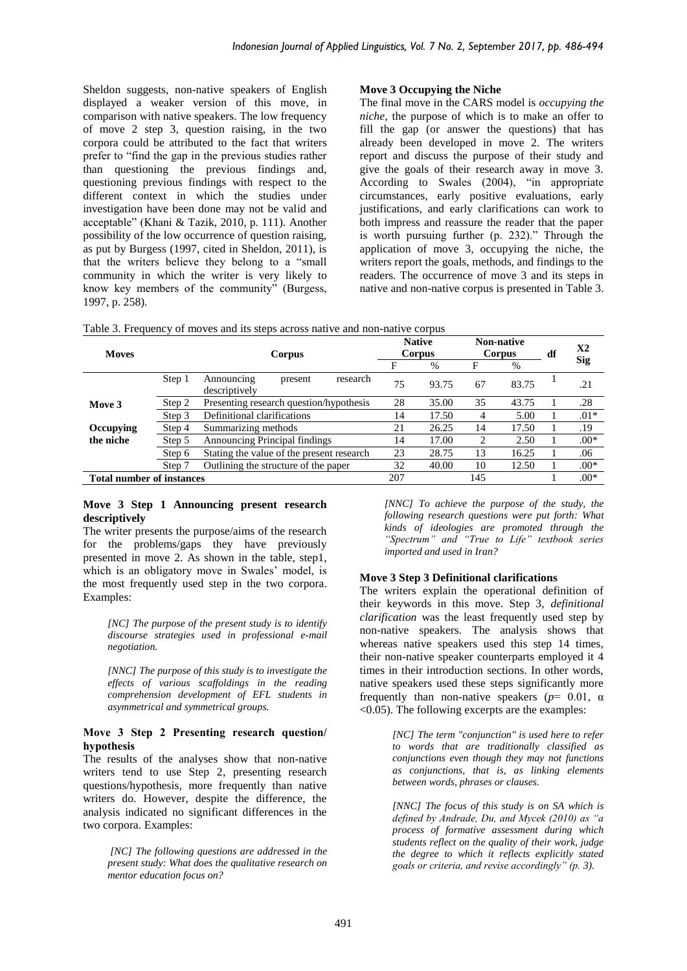Sheldon suggests, non-native speakers of English displayed a weaker version of this move, in comparison with native speakers. The low frequency of move 2 step 3, question raising, in the two corpora could be attributed to the fact that writers prefer to "find the gap in the previous studies rather than questioning the previous findings and, questioning previous findings with respect to the different context in which the studies under investigation have been done may not be valid and acceptable" (Khani & Tazik, 2010, p. 111). Another possibility of the low occurrence of question raising, as put by Burgess (1997, cited in Sheldon, 2011), is that the writers believe they belong to a "small community in which the writer is very likely to know key members of the community" (Burgess, 1997, p. 258).

# **Move 3 Occupying the Niche**

The final move in the CARS model is *occupying the niche*, the purpose of which is to make an offer to fill the gap (or answer the questions) that has already been developed in move 2. The writers report and discuss the purpose of their study and give the goals of their research away in move 3. According to Swales (2004), "in appropriate circumstances, early positive evaluations, early justifications, and early clarifications can work to both impress and reassure the reader that the paper is worth pursuing further (p. 232)." Through the application of move 3, occupying the niche, the writers report the goals, methods, and findings to the readers. The occurrence of move 3 and its steps in native and non-native corpus is presented in Table 3.

|  |  |  |  | Table 3. Frequency of moves and its steps across native and non-native corpus |
|--|--|--|--|-------------------------------------------------------------------------------|
|--|--|--|--|-------------------------------------------------------------------------------|

| <b>Moves</b>                     |        | Corpus                                             |     | <b>Native</b><br>Corpus |     | Non-native<br>Corpus |  | X <sub>2</sub> |
|----------------------------------|--------|----------------------------------------------------|-----|-------------------------|-----|----------------------|--|----------------|
|                                  |        |                                                    | F   | $\%$                    | F   | $\%$                 |  | <b>Sig</b>     |
|                                  | Step 1 | Announcing<br>research<br>present<br>descriptively | 75  | 93.75                   | 67  | 83.75                |  | .21            |
| Move 3                           | Step 2 | Presenting research question/hypothesis            | 28  | 35.00                   | 35  | 43.75                |  | .28            |
|                                  | Step 3 | Definitional clarifications                        | 14  | 17.50                   | 4   | 5.00                 |  | $.01*$         |
| Occupying                        | Step 4 | Summarizing methods                                | 21  | 26.25                   | 14  | 17.50                |  | .19            |
| the niche                        | Step 5 | <b>Announcing Principal findings</b>               | 14  | 17.00                   | 2   | 2.50                 |  | $.00*$         |
|                                  | Step 6 | Stating the value of the present research          | 23  | 28.75                   | 13  | 16.25                |  | .06            |
|                                  | Step 7 | Outlining the structure of the paper               | 32  | 40.00                   | 10  | 12.50                |  | $.00*$         |
| <b>Total number of instances</b> |        |                                                    | 207 |                         | 145 |                      |  | $.00*$         |

#### **Move 3 Step 1 Announcing present research descriptively**

The writer presents the purpose/aims of the research for the problems/gaps they have previously presented in move 2. As shown in the table, step1, which is an obligatory move in Swales' model, is the most frequently used step in the two corpora. Examples:

> *[NC] The purpose of the present study is to identify discourse strategies used in professional e-mail negotiation.*

> *[NNC] The purpose of this study is to investigate the effects of various scaffoldings in the reading comprehension development of EFL students in asymmetrical and symmetrical groups.*

### **Move 3 Step 2 Presenting research question/ hypothesis**

The results of the analyses show that non-native writers tend to use Step 2, presenting research questions/hypothesis*,* more frequently than native writers do. However, despite the difference, the analysis indicated no significant differences in the two corpora. Examples:

*[NC] The following questions are addressed in the present study: What does the qualitative research on mentor education focus on?*

*[NNC] To achieve the purpose of the study, the following research questions were put forth: What kinds of ideologies are promoted through the "Spectrum" and "True to Life" textbook series imported and used in Iran?*

# **Move 3 Step 3 Definitional clarifications**

The writers explain the operational definition of their keywords in this move. Step 3, *definitional clarification* was the least frequently used step by non-native speakers. The analysis shows that whereas native speakers used this step 14 times, their non-native speaker counterparts employed it 4 times in their introduction sections. In other words, native speakers used these steps significantly more frequently than non-native speakers ( $p=0.01$ ,  $\alpha$ ) <0.05). The following excerpts are the examples:

> *[NC] The term "conjunction" is used here to refer to words that are traditionally classified as conjunctions even though they may not functions as conjunctions, that is, as linking elements between words, phrases or clauses.*

> *[NNC] The focus of this study is on SA which is defined by Andrade, Du, and Mycek (2010) as "a process of formative assessment during which students reflect on the quality of their work, judge the degree to which it reflects explicitly stated goals or criteria, and revise accordingly" (p. 3).*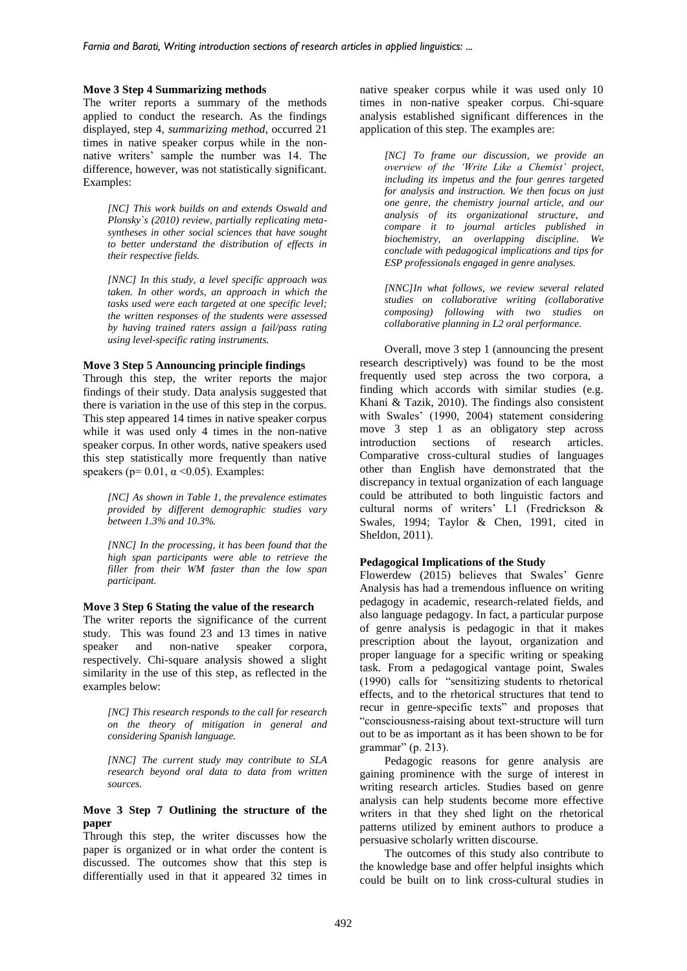### **Move 3 Step 4 Summarizing methods**

The writer reports a summary of the methods applied to conduct the research. As the findings displayed, step 4, *summarizing method,* occurred 21 times in native speaker corpus while in the nonnative writers' sample the number was 14. The difference, however, was not statistically significant. Examples:

> *[NC] This work builds on and extends Oswald and Plonsky`s (2010) review, partially replicating metasyntheses in other social sciences that have sought to better understand the distribution of effects in their respective fields.*

> *[NNC] In this study, a level specific approach was taken. In other words, an approach in which the tasks used were each targeted at one specific level; the written responses of the students were assessed by having trained raters assign a fail/pass rating using level-specific rating instruments.*

#### **Move 3 Step 5 Announcing principle findings**

Through this step, the writer reports the major findings of their study. Data analysis suggested that there is variation in the use of this step in the corpus. This step appeared 14 times in native speaker corpus while it was used only 4 times in the non-native speaker corpus. In other words, native speakers used this step statistically more frequently than native speakers ( $p= 0.01$ ,  $\alpha \le 0.05$ ). Examples:

*[NC] As shown in Table 1, the prevalence estimates provided by different demographic studies vary between 1.3% and 10.3%.*

*[NNC] In the processing, it has been found that the high span participants were able to retrieve the filler from their WM faster than the low span participant.*

### **Move 3 Step 6 Stating the value of the research**

The writer reports the significance of the current study. This was found 23 and 13 times in native speaker and non-native speaker corpora, respectively. Chi-square analysis showed a slight similarity in the use of this step, as reflected in the examples below:

*[NC] This research responds to the call for research on the theory of mitigation in general and considering Spanish language.*

*[NNC] The current study may contribute to SLA research beyond oral data to data from written sources.*

## **Move 3 Step 7 Outlining the structure of the paper**

Through this step, the writer discusses how the paper is organized or in what order the content is discussed. The outcomes show that this step is differentially used in that it appeared 32 times in native speaker corpus while it was used only 10 times in non-native speaker corpus. Chi-square analysis established significant differences in the application of this step. The examples are:

*[NC] To frame our discussion, we provide an overview of the 'Write Like a Chemist' project, including its impetus and the four genres targeted for analysis and instruction. We then focus on just one genre, the chemistry journal article, and our analysis of its organizational structure, and compare it to journal articles published in biochemistry, an overlapping discipline. We conclude with pedagogical implications and tips for ESP professionals engaged in genre analyses.*

*[NNC]In what follows, we review several related studies on collaborative writing (collaborative composing) following with two studies on collaborative planning in L2 oral performance.*

Overall, move 3 step 1 (announcing the present research descriptively) was found to be the most frequently used step across the two corpora, a finding which accords with similar studies (e.g. Khani & Tazik, 2010). The findings also consistent with Swales' (1990, 2004) statement considering move 3 step 1 as an obligatory step across introduction sections of research articles. Comparative cross-cultural studies of languages other than English have demonstrated that the discrepancy in textual organization of each language could be attributed to both linguistic factors and cultural norms of writers' L1 (Fredrickson & Swales, 1994; Taylor & Chen, 1991, cited in Sheldon, 2011).

### **Pedagogical Implications of the Study**

Flowerdew (2015) believes that Swales' Genre Analysis has had a tremendous influence on writing pedagogy in academic, research-related fields, and also language pedagogy. In fact, a particular purpose of genre analysis is pedagogic in that it makes prescription about the layout, organization and proper language for a specific writing or speaking task. From a pedagogical vantage point, Swales (1990) calls for "sensitizing students to rhetorical effects, and to the rhetorical structures that tend to recur in genre-specific texts" and proposes that "consciousness-raising about text-structure will turn out to be as important as it has been shown to be for grammar" (p. 213).

Pedagogic reasons for genre analysis are gaining prominence with the surge of interest in writing research articles. Studies based on genre analysis can help students become more effective writers in that they shed light on the rhetorical patterns utilized by eminent authors to produce a persuasive scholarly written discourse.

The outcomes of this study also contribute to the knowledge base and offer helpful insights which could be built on to link cross-cultural studies in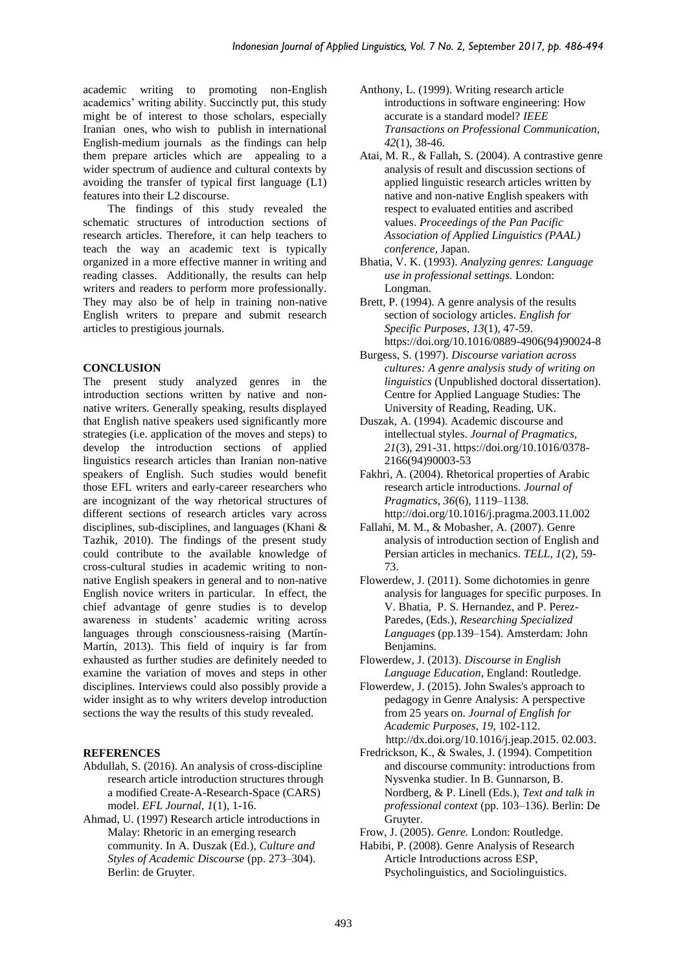academic writing to promoting non-English academics' writing ability. Succinctly put, this study might be of interest to those scholars, especially Iranian ones, who wish to publish in international English-medium journals as the findings can help them prepare articles which are appealing to a wider spectrum of audience and cultural contexts by avoiding the transfer of typical first language (L1) features into their L2 discourse.

The findings of this study revealed the schematic structures of introduction sections of research articles. Therefore, it can help teachers to teach the way an academic text is typically organized in a more effective manner in writing and reading classes. Additionally, the results can help writers and readers to perform more professionally. They may also be of help in training non-native English writers to prepare and submit research articles to prestigious journals.

# **CONCLUSION**

The present study analyzed genres in the introduction sections written by native and nonnative writers. Generally speaking, results displayed that English native speakers used significantly more strategies (i.e. application of the moves and steps) to develop the introduction sections of applied linguistics research articles than Iranian non-native speakers of English. Such studies would benefit those EFL writers and early-career researchers who are incognizant of the way rhetorical structures of different sections of research articles vary across disciplines, sub-disciplines, and languages (Khani & Tazhik, 2010). The findings of the present study could contribute to the available knowledge of cross-cultural studies in academic writing to nonnative English speakers in general and to non-native English novice writers in particular. In effect, the chief advantage of genre studies is to develop awareness in students' academic writing across languages through consciousness-raising (Martín-Martín, 2013). This field of inquiry is far from exhausted as further studies are definitely needed to examine the variation of moves and steps in other disciplines. Interviews could also possibly provide a wider insight as to why writers develop introduction sections the way the results of this study revealed.

# **REFERENCES**

- Abdullah, S. (2016). An analysis of cross-discipline research article introduction structures through a modified Create-A-Research-Space (CARS) model. *EFL Journal, 1*(1), 1-16.
- Ahmad, U. (1997) Research article introductions in Malay: Rhetoric in an emerging research community. In A. Duszak (Ed.), *Culture and Styles of Academic Discourse* (pp. 273–304). Berlin: de Gruyter.
- Anthony, L. (1999). Writing research article introductions in software engineering: How accurate is a standard model? *IEEE Transactions on Professional Communication*, *42*(1), 38-46.
- Atai, M. R., & Fallah, S. (2004). A contrastive genre analysis of result and discussion sections of applied linguistic research articles written by native and non-native English speakers with respect to evaluated entities and ascribed values. *Proceedings of the Pan Pacific Association of Applied Linguistics (PAAL) conference,* Japan.
- Bhatia, V. K. (1993). *Analyzing genres: Language use in professional settings.* London: Longman.
- Brett, P. (1994). A genre analysis of the results section of sociology articles. *English for Specific Purposes, 13*(1), 47-59. [https://doi.org/10.1016/0889-4906\(94\)90024-8](https://doi.org/10.1016/0889-4906%2894%2990024-8)
- Burgess, S. (1997). *Discourse variation across cultures: A genre analysis study of writing on linguistics* (Unpublished doctoral dissertation). Centre for Applied Language Studies: The University of Reading, Reading, UK.
- Duszak, A. (1994). Academic discourse and intellectual styles. *Journal of Pragmatics, 21*(3), 291-31. [https://doi.org/10.1016/0378-](https://doi.org/10.1016/0378-2166(94)90003-5) [2166\(94\)90003-53](https://doi.org/10.1016/0378-2166(94)90003-5)
- Fakhri, A. (2004). Rhetorical properties of Arabic research article introductions. *Journal of Pragmatics, 36*(6), 1119–1138. <http://doi.org/10.1016/j.pragma.2003.11.002>
- Fallahi, M. M., & Mobasher, A. (2007). Genre analysis of introduction section of English and Persian articles in mechanics. *TELL, 1*(2), 59- 73.
- Flowerdew, J. (2011). Some dichotomies in genre analysis for languages for specific purposes. In V. Bhatia, P. S. Hernandez, and P. Perez-Paredes, (Eds.), *Researching Specialized Languages* (pp.139–154). Amsterdam: John Benjamins.
- Flowerdew, J. (2013). *Discourse in English Language Education,* England: Routledge.
- Flowerdew, J. (2015). John Swales's approach to pedagogy in Genre Analysis: A perspective from 25 years on. *Journal of English for Academic Purposes*, *19*, 102-112. http://dx.doi.org/10.1016/j.jeap.2015. 02.003.
- Fredrickson, K., & Swales, J. (1994). Competition and discourse community: introductions from Nysvenka studier. In B. Gunnarson, B. Nordberg, & P. Linell (Eds.), *Text and talk in professional context* (pp. 103–136*)*. Berlin: De Gruyter.
- Frow, J. (2005). *Genre.* London: Routledge.
- Habibi, P. (2008). Genre Analysis of Research Article Introductions across ESP, Psycholinguistics, and Sociolinguistics.